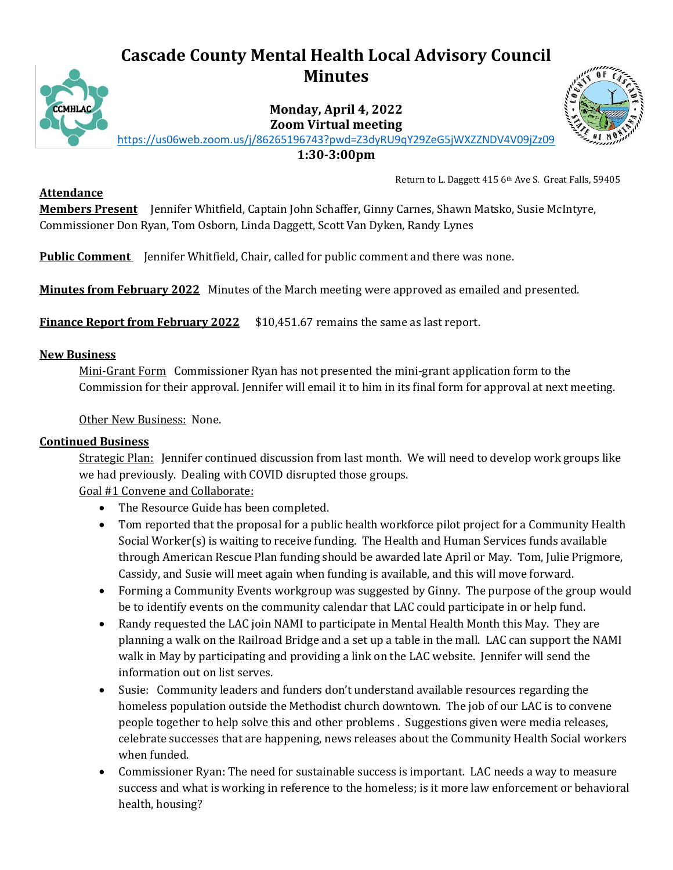# **Cascade County Mental Health Local Advisory Council Minutes**



**Monday, April 4, 2022 Zoom Virtual meeting** <https://us06web.zoom.us/j/86265196743?pwd=Z3dyRU9qY29ZeG5jWXZZNDV4V09jZz09>



**1:30-3:00pm**

**Attendance**

Return to L. Daggett 415 6th Ave S. Great Falls, 59405

**Members Present** Jennifer Whitfield, Captain John Schaffer, Ginny Carnes, Shawn Matsko, Susie McIntyre, Commissioner Don Ryan, Tom Osborn, Linda Daggett, Scott Van Dyken, Randy Lynes

**Public Comment** Jennifer Whitfield, Chair, called for public comment and there was none.

**Minutes from February 2022** Minutes of the March meeting were approved as emailed and presented.

**Finance Report from February 2022** \$10,451.67 remains the same as last report.

### **New Business**

Mini-Grant Form Commissioner Ryan has not presented the mini-grant application form to the Commission for their approval. Jennifer will email it to him in its final form for approval at next meeting.

Other New Business: None.

### **Continued Business**

Strategic Plan: Jennifer continued discussion from last month. We will need to develop work groups like we had previously. Dealing with COVID disrupted those groups.

Goal #1 Convene and Collaborate:

- The Resource Guide has been completed.
- Tom reported that the proposal for a public health workforce pilot project for a Community Health Social Worker(s) is waiting to receive funding. The Health and Human Services funds available through American Rescue Plan funding should be awarded late April or May. Tom, Julie Prigmore, Cassidy, and Susie will meet again when funding is available, and this will move forward.
- Forming a Community Events workgroup was suggested by Ginny. The purpose of the group would be to identify events on the community calendar that LAC could participate in or help fund.
- Randy requested the LAC join NAMI to participate in Mental Health Month this May. They are planning a walk on the Railroad Bridge and a set up a table in the mall. LAC can support the NAMI walk in May by participating and providing a link on the LAC website. Jennifer will send the information out on list serves.
- Susie: Community leaders and funders don't understand available resources regarding the homeless population outside the Methodist church downtown. The job of our LAC is to convene people together to help solve this and other problems . Suggestions given were media releases, celebrate successes that are happening, news releases about the Community Health Social workers when funded.
- Commissioner Ryan: The need for sustainable success is important. LAC needs a way to measure success and what is working in reference to the homeless; is it more law enforcement or behavioral health, housing?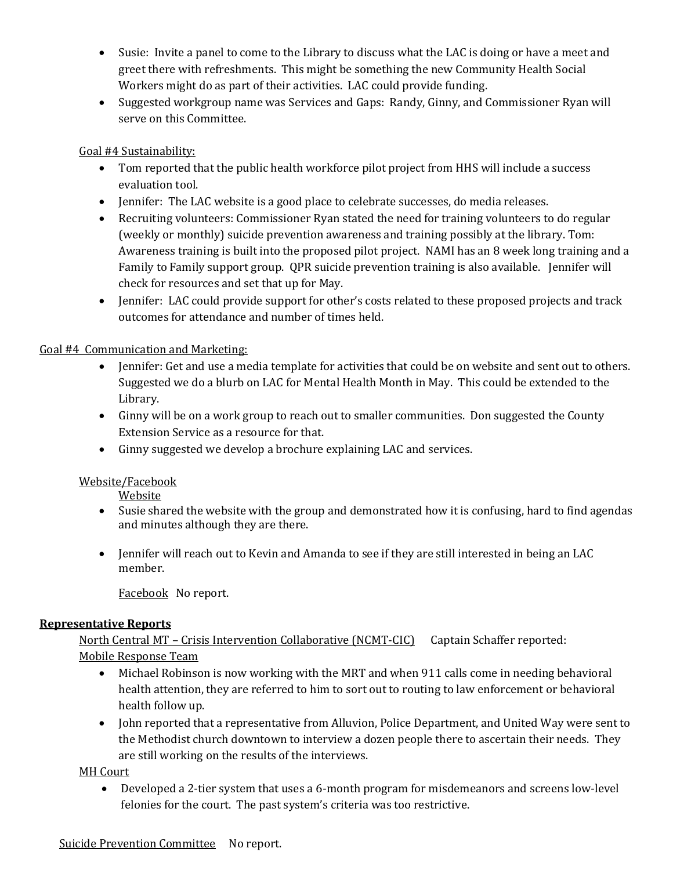- Susie: Invite a panel to come to the Library to discuss what the LAC is doing or have a meet and greet there with refreshments. This might be something the new Community Health Social Workers might do as part of their activities. LAC could provide funding.
- Suggested workgroup name was Services and Gaps: Randy, Ginny, and Commissioner Ryan will serve on this Committee.

## Goal #4 Sustainability:

- Tom reported that the public health workforce pilot project from HHS will include a success evaluation tool.
- Jennifer: The LAC website is a good place to celebrate successes, do media releases.
- Recruiting volunteers: Commissioner Ryan stated the need for training volunteers to do regular (weekly or monthly) suicide prevention awareness and training possibly at the library. Tom: Awareness training is built into the proposed pilot project. NAMI has an 8 week long training and a Family to Family support group. QPR suicide prevention training is also available. Jennifer will check for resources and set that up for May.
- Jennifer: LAC could provide support for other's costs related to these proposed projects and track outcomes for attendance and number of times held.

## Goal #4 Communication and Marketing:

- Jennifer: Get and use a media template for activities that could be on website and sent out to others. Suggested we do a blurb on LAC for Mental Health Month in May. This could be extended to the Library.
- Ginny will be on a work group to reach out to smaller communities. Don suggested the County Extension Service as a resource for that.
- Ginny suggested we develop a brochure explaining LAC and services.

## Website/Facebook

Website

- Susie shared the website with the group and demonstrated how it is confusing, hard to find agendas and minutes although they are there.
- Jennifer will reach out to Kevin and Amanda to see if they are still interested in being an LAC member.

Facebook No report.

### **Representative Reports**

North Central MT – Crisis Intervention Collaborative (NCMT-CIC) Captain Schaffer reported: Mobile Response Team

- Michael Robinson is now working with the MRT and when 911 calls come in needing behavioral health attention, they are referred to him to sort out to routing to law enforcement or behavioral health follow up.
- John reported that a representative from Alluvion, Police Department, and United Way were sent to the Methodist church downtown to interview a dozen people there to ascertain their needs. They are still working on the results of the interviews.

MH Court

• Developed a 2-tier system that uses a 6-month program for misdemeanors and screens low-level felonies for the court. The past system's criteria was too restrictive.

### Suicide Prevention Committee No report.